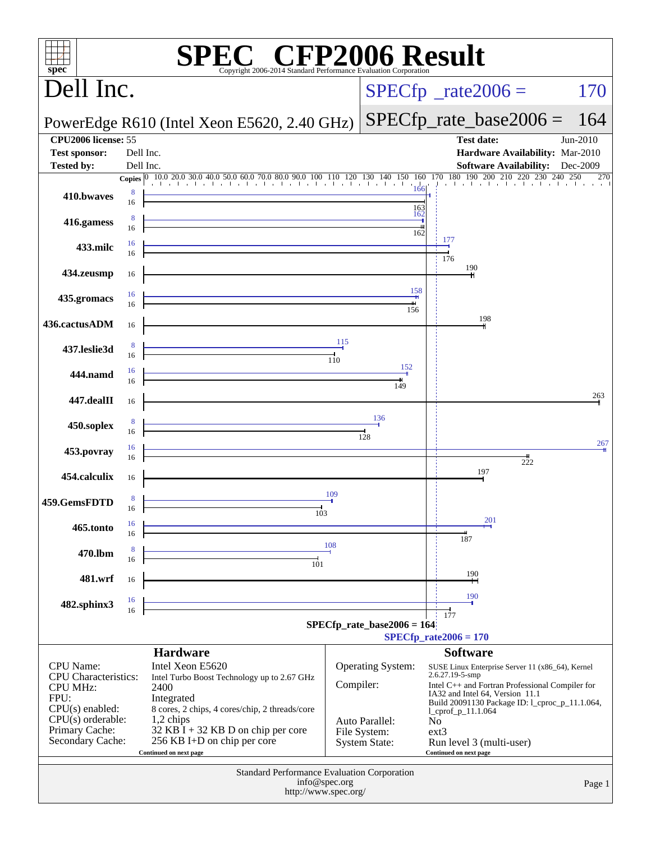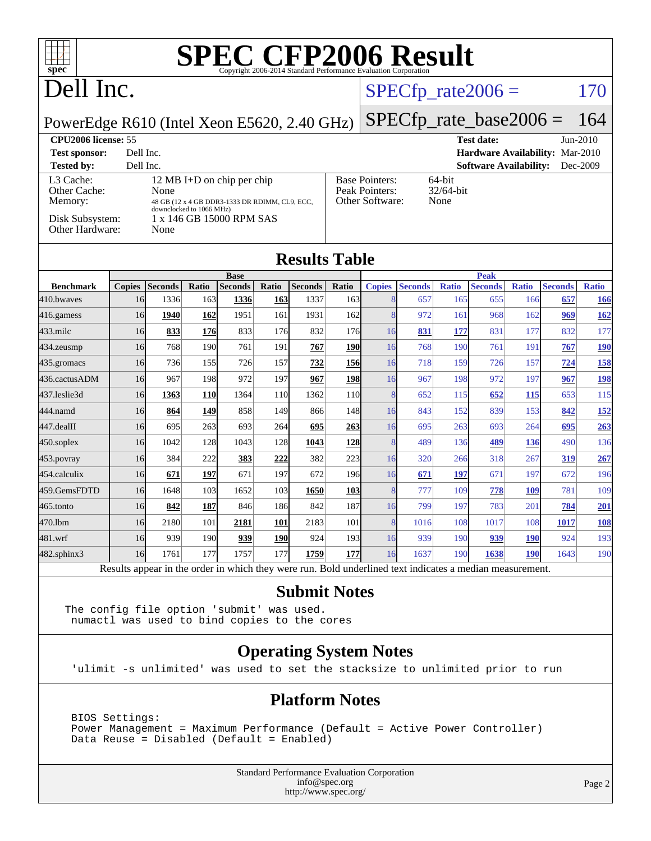| ┱<br>$spec^{\circ}$                                                                                       |                                                        |                        |              | <b>SPEC CFP2006 Result</b> |                     | Copyright 2006-2014 Standard Performance Evaluation Corporation |                         |                    |                           |                     |                       |                     |                       |                     |
|-----------------------------------------------------------------------------------------------------------|--------------------------------------------------------|------------------------|--------------|----------------------------|---------------------|-----------------------------------------------------------------|-------------------------|--------------------|---------------------------|---------------------|-----------------------|---------------------|-----------------------|---------------------|
| Dell Inc.                                                                                                 |                                                        |                        |              |                            |                     |                                                                 |                         |                    | $SPECfp\_rate2006 =$      |                     |                       |                     |                       | 170                 |
| PowerEdge R610 (Intel Xeon E5620, 2.40 GHz)                                                               |                                                        |                        |              |                            |                     |                                                                 |                         |                    | $SPECfp_rate\_base2006 =$ |                     |                       |                     |                       | 164                 |
| <b>CPU2006 license: 55</b><br>$Jun-2010$<br><b>Test date:</b>                                             |                                                        |                        |              |                            |                     |                                                                 |                         |                    |                           |                     |                       |                     |                       |                     |
| Dell Inc.<br>Hardware Availability: Mar-2010<br><b>Test sponsor:</b>                                      |                                                        |                        |              |                            |                     |                                                                 |                         |                    |                           |                     |                       |                     |                       |                     |
| Dell Inc.<br><b>Software Availability:</b><br>Dec-2009<br><b>Tested by:</b>                               |                                                        |                        |              |                            |                     |                                                                 |                         |                    |                           |                     |                       |                     |                       |                     |
| Other Cache:                                                                                              | L3 Cache:<br>12 MB I+D on chip per chip                |                        |              |                            |                     | <b>Base Pointers:</b><br>64-bit<br>Peak Pointers:<br>32/64-bit  |                         |                    |                           |                     |                       |                     |                       |                     |
| Memory:                                                                                                   | None<br>48 GB (12 x 4 GB DDR3-1333 DR RDIMM, CL9, ECC, |                        |              |                            |                     |                                                                 | Other Software:<br>None |                    |                           |                     |                       |                     |                       |                     |
| downclocked to 1066 MHz)<br>Disk Subsystem:<br>1 x 146 GB 15000 RPM SAS<br><b>Other Hardware:</b><br>None |                                                        |                        |              |                            |                     |                                                                 |                         |                    |                           |                     |                       |                     |                       |                     |
| <b>Results Table</b>                                                                                      |                                                        |                        |              |                            |                     |                                                                 |                         |                    |                           |                     |                       |                     |                       |                     |
|                                                                                                           |                                                        |                        |              | <b>Base</b>                |                     |                                                                 |                         |                    |                           |                     | <b>Peak</b>           |                     |                       |                     |
| <b>Benchmark</b><br>410.bwayes                                                                            | 16                                                     | Copies Seconds<br>1336 | Ratio<br>163 | <b>Seconds</b><br>1336     | Ratio<br><b>163</b> | <b>Seconds</b><br>1337                                          | Ratio<br>163            | <b>Copies</b><br>8 | <b>Seconds</b><br>657     | <b>Ratio</b><br>165 | <b>Seconds</b><br>655 | <b>Ratio</b><br>166 | <b>Seconds</b><br>657 | <b>Ratio</b><br>166 |
| 416.gamess                                                                                                | 16                                                     | 1940                   | 162          | 1951                       | 161                 | 1931                                                            | 162                     | 8                  | 972                       | 161                 | 968                   | 162                 | 969                   | <u>162</u>          |
| 433.milc                                                                                                  | 16                                                     | 833                    | 176          | 833                        | 176                 | 832                                                             | 176                     | 16                 | 831                       | 177                 | 831                   | 177                 | 832                   | 177                 |
| 434.zeusmp                                                                                                | 16                                                     | 768                    | 190          | 761                        | 191                 | 767                                                             | 190                     | 16                 | 768                       | 190                 | 761                   | 191                 | 767                   | 190                 |
| 435.gromacs                                                                                               | 16                                                     | 736                    | 155          | 726                        | 157                 | 732                                                             | 156                     | 16                 | 718                       | 159                 | 726                   | 157                 | 724                   | 158                 |
| 436.cactusADM                                                                                             | 16                                                     | 967                    | 198          | 972                        | 197                 | 967                                                             | 198                     | 16                 | 967                       | 198                 | 972                   | 197                 | 967                   | 198                 |
| 437.leslie3d                                                                                              | 16                                                     | 1363                   | <b>110</b>   | 1364                       | 110                 | 1362                                                            | 110                     | 8                  | 652                       | 115                 | 652                   | <u> 115</u>         | 653                   | 115                 |
| 444.namd                                                                                                  | 16                                                     | 864                    | <u>149</u>   | 858                        | 149                 | 866                                                             | 148                     | 16                 | 843                       | 152                 | 839                   | 153                 | 842                   | <u>152</u>          |
| 447.dealII                                                                                                | 16                                                     | 695                    | 263          | 693                        | 264                 | 695                                                             | 263                     | 16                 | 695                       | 263                 | 693                   | 264                 | 695                   | 263                 |
| 450.soplex                                                                                                | 16                                                     | 1042                   | 128          | 1043                       | 128                 | 1043                                                            | 128                     | 8                  | 489                       | 136                 | 489                   | 136                 | 490                   | 136                 |
| 453.povray                                                                                                | 16                                                     | 384                    | 222          | 383                        | 222                 | 382                                                             | 223                     | 16                 | 320                       | 266                 | 318                   | 267                 | 319                   | 267                 |
| 454.calculix                                                                                              | 16                                                     | 671                    | 197          | 671                        | 197                 | 672                                                             | 196                     | 16                 | 671                       | 197                 | 671                   | 197                 | 672                   | 196                 |
| 459.GemsFDTD                                                                                              | 16                                                     | 1648                   | 103          | 1652                       | 103                 | 1650                                                            | 103                     | 8                  | 777                       | 109                 | 778                   | 109                 | 781                   | 109                 |
| 465.tonto                                                                                                 | 16                                                     | 842                    | 187          | 846                        | 186                 | 842                                                             | 187                     | 16                 | 799                       | 197                 | 783                   | 201                 | 784                   | 201                 |
| 470.1bm                                                                                                   | 16                                                     | 2180                   | 101          | 2181                       | 101                 | 2183                                                            | 101                     | 8                  | 1016                      | 108                 | 1017                  | 108                 | 1017                  | 108                 |
| 481.wrf                                                                                                   | 16                                                     | 939                    | 190          | 939                        | 190                 | 924                                                             | 193                     | 16                 | 939                       | 190                 | 939                   | <b>190</b>          | 924                   | 193                 |
| 482.sphinx3                                                                                               | 16                                                     | 1761                   | 177          | 1757                       | 177                 | 1759                                                            | 177                     | 16                 | 1637                      | 190                 | 1638                  | <b>190</b>          | 1643                  | 190                 |
| Results appear in the order in which they were run. Bold underlined text indicates a median measurement.  |                                                        |                        |              |                            |                     |                                                                 |                         |                    |                           |                     |                       |                     |                       |                     |

#### **[Submit Notes](http://www.spec.org/auto/cpu2006/Docs/result-fields.html#SubmitNotes)**

The config file option 'submit' was used. numactl was used to bind copies to the cores

#### **[Operating System Notes](http://www.spec.org/auto/cpu2006/Docs/result-fields.html#OperatingSystemNotes)**

'ulimit -s unlimited' was used to set the stacksize to unlimited prior to run

#### **[Platform Notes](http://www.spec.org/auto/cpu2006/Docs/result-fields.html#PlatformNotes)**

 BIOS Settings: Power Management = Maximum Performance (Default = Active Power Controller) Data Reuse = Disabled (Default = Enabled)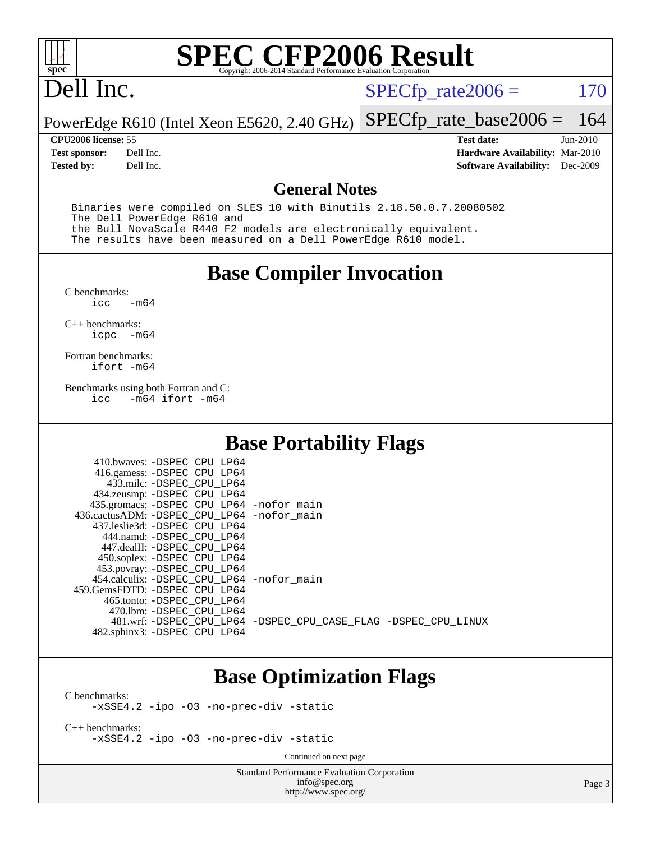

#### Dell Inc.

 $SPECTp_rate2006 = 170$ 

PowerEdge R610 (Intel Xeon E5620, 2.40 GHz) [SPECfp\\_rate\\_base2006 =](http://www.spec.org/auto/cpu2006/Docs/result-fields.html#SPECfpratebase2006) 164

**[Tested by:](http://www.spec.org/auto/cpu2006/Docs/result-fields.html#Testedby)** Dell Inc. **[Software Availability:](http://www.spec.org/auto/cpu2006/Docs/result-fields.html#SoftwareAvailability)** Dec-2009

**[CPU2006 license:](http://www.spec.org/auto/cpu2006/Docs/result-fields.html#CPU2006license)** 55 **[Test date:](http://www.spec.org/auto/cpu2006/Docs/result-fields.html#Testdate)** Jun-2010 **[Test sponsor:](http://www.spec.org/auto/cpu2006/Docs/result-fields.html#Testsponsor)** Dell Inc. **[Hardware Availability:](http://www.spec.org/auto/cpu2006/Docs/result-fields.html#HardwareAvailability)** Mar-2010

#### **[General Notes](http://www.spec.org/auto/cpu2006/Docs/result-fields.html#GeneralNotes)**

 Binaries were compiled on SLES 10 with Binutils 2.18.50.0.7.20080502 The Dell PowerEdge R610 and the Bull NovaScale R440 F2 models are electronically equivalent. The results have been measured on a Dell PowerEdge R610 model.

#### **[Base Compiler Invocation](http://www.spec.org/auto/cpu2006/Docs/result-fields.html#BaseCompilerInvocation)**

 $C$  benchmarks:<br>icc  $-m64$ 

[C++ benchmarks:](http://www.spec.org/auto/cpu2006/Docs/result-fields.html#CXXbenchmarks) [icpc -m64](http://www.spec.org/cpu2006/results/res2010q3/cpu2006-20100702-12146.flags.html#user_CXXbase_intel_icpc_64bit_bedb90c1146cab66620883ef4f41a67e)

[Fortran benchmarks](http://www.spec.org/auto/cpu2006/Docs/result-fields.html#Fortranbenchmarks): [ifort -m64](http://www.spec.org/cpu2006/results/res2010q3/cpu2006-20100702-12146.flags.html#user_FCbase_intel_ifort_64bit_ee9d0fb25645d0210d97eb0527dcc06e)

[Benchmarks using both Fortran and C](http://www.spec.org/auto/cpu2006/Docs/result-fields.html#BenchmarksusingbothFortranandC):<br>icc -m64 ifort -m64  $-m64$  ifort  $-m64$ 

#### **[Base Portability Flags](http://www.spec.org/auto/cpu2006/Docs/result-fields.html#BasePortabilityFlags)**

| 410.bwaves: -DSPEC CPU LP64<br>416.gamess: -DSPEC_CPU_LP64<br>433.milc: -DSPEC CPU LP64<br>434.zeusmp: -DSPEC_CPU_LP64<br>435.gromacs: -DSPEC_CPU_LP64 -nofor_main<br>436.cactusADM: - DSPEC CPU LP64 - nofor main<br>437.leslie3d: -DSPEC CPU LP64<br>444.namd: -DSPEC CPU LP64<br>447.dealII: -DSPEC CPU LP64 |                                                                |
|-----------------------------------------------------------------------------------------------------------------------------------------------------------------------------------------------------------------------------------------------------------------------------------------------------------------|----------------------------------------------------------------|
| 450.soplex: -DSPEC CPU LP64<br>453.povray: -DSPEC_CPU_LP64<br>454.calculix: - DSPEC CPU LP64 - nofor main<br>459. GemsFDTD: - DSPEC CPU LP64<br>465.tonto: -DSPEC CPU LP64                                                                                                                                      |                                                                |
| 470.1bm: - DSPEC CPU LP64<br>482.sphinx3: -DSPEC_CPU_LP64                                                                                                                                                                                                                                                       | 481.wrf: -DSPEC CPU_LP64 -DSPEC_CPU_CASE_FLAG -DSPEC_CPU_LINUX |

#### **[Base Optimization Flags](http://www.spec.org/auto/cpu2006/Docs/result-fields.html#BaseOptimizationFlags)**

[C benchmarks](http://www.spec.org/auto/cpu2006/Docs/result-fields.html#Cbenchmarks):

[-xSSE4.2](http://www.spec.org/cpu2006/results/res2010q3/cpu2006-20100702-12146.flags.html#user_CCbase_f-xSSE42_f91528193cf0b216347adb8b939d4107) [-ipo](http://www.spec.org/cpu2006/results/res2010q3/cpu2006-20100702-12146.flags.html#user_CCbase_f-ipo) [-O3](http://www.spec.org/cpu2006/results/res2010q3/cpu2006-20100702-12146.flags.html#user_CCbase_f-O3) [-no-prec-div](http://www.spec.org/cpu2006/results/res2010q3/cpu2006-20100702-12146.flags.html#user_CCbase_f-no-prec-div) [-static](http://www.spec.org/cpu2006/results/res2010q3/cpu2006-20100702-12146.flags.html#user_CCbase_f-static)

[C++ benchmarks:](http://www.spec.org/auto/cpu2006/Docs/result-fields.html#CXXbenchmarks) [-xSSE4.2](http://www.spec.org/cpu2006/results/res2010q3/cpu2006-20100702-12146.flags.html#user_CXXbase_f-xSSE42_f91528193cf0b216347adb8b939d4107) [-ipo](http://www.spec.org/cpu2006/results/res2010q3/cpu2006-20100702-12146.flags.html#user_CXXbase_f-ipo) [-O3](http://www.spec.org/cpu2006/results/res2010q3/cpu2006-20100702-12146.flags.html#user_CXXbase_f-O3) [-no-prec-div](http://www.spec.org/cpu2006/results/res2010q3/cpu2006-20100702-12146.flags.html#user_CXXbase_f-no-prec-div) [-static](http://www.spec.org/cpu2006/results/res2010q3/cpu2006-20100702-12146.flags.html#user_CXXbase_f-static)

Continued on next page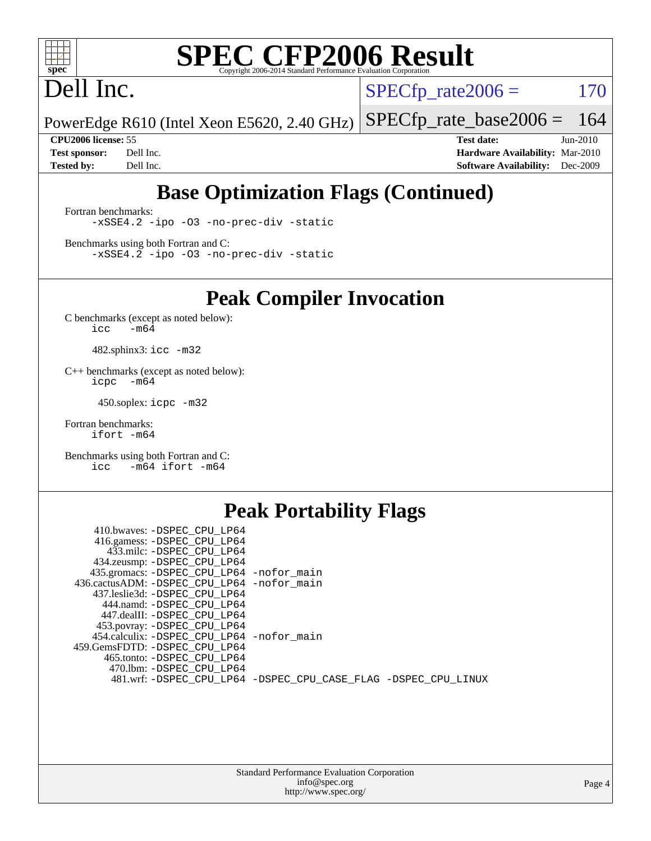

## Dell Inc.

 $SPECTp_rate2006 = 170$ 

PowerEdge R610 (Intel Xeon E5620, 2.40 GHz) [SPECfp\\_rate\\_base2006 =](http://www.spec.org/auto/cpu2006/Docs/result-fields.html#SPECfpratebase2006) 164

**[CPU2006 license:](http://www.spec.org/auto/cpu2006/Docs/result-fields.html#CPU2006license)** 55 **[Test date:](http://www.spec.org/auto/cpu2006/Docs/result-fields.html#Testdate)** Jun-2010 **[Test sponsor:](http://www.spec.org/auto/cpu2006/Docs/result-fields.html#Testsponsor)** Dell Inc. **[Hardware Availability:](http://www.spec.org/auto/cpu2006/Docs/result-fields.html#HardwareAvailability)** Mar-2010 **[Tested by:](http://www.spec.org/auto/cpu2006/Docs/result-fields.html#Testedby)** Dell Inc. **[Software Availability:](http://www.spec.org/auto/cpu2006/Docs/result-fields.html#SoftwareAvailability)** Dec-2009

#### **[Base Optimization Flags \(Continued\)](http://www.spec.org/auto/cpu2006/Docs/result-fields.html#BaseOptimizationFlags)**

[Fortran benchmarks](http://www.spec.org/auto/cpu2006/Docs/result-fields.html#Fortranbenchmarks): [-xSSE4.2](http://www.spec.org/cpu2006/results/res2010q3/cpu2006-20100702-12146.flags.html#user_FCbase_f-xSSE42_f91528193cf0b216347adb8b939d4107) [-ipo](http://www.spec.org/cpu2006/results/res2010q3/cpu2006-20100702-12146.flags.html#user_FCbase_f-ipo) [-O3](http://www.spec.org/cpu2006/results/res2010q3/cpu2006-20100702-12146.flags.html#user_FCbase_f-O3) [-no-prec-div](http://www.spec.org/cpu2006/results/res2010q3/cpu2006-20100702-12146.flags.html#user_FCbase_f-no-prec-div) [-static](http://www.spec.org/cpu2006/results/res2010q3/cpu2006-20100702-12146.flags.html#user_FCbase_f-static)

[Benchmarks using both Fortran and C](http://www.spec.org/auto/cpu2006/Docs/result-fields.html#BenchmarksusingbothFortranandC): [-xSSE4.2](http://www.spec.org/cpu2006/results/res2010q3/cpu2006-20100702-12146.flags.html#user_CC_FCbase_f-xSSE42_f91528193cf0b216347adb8b939d4107) [-ipo](http://www.spec.org/cpu2006/results/res2010q3/cpu2006-20100702-12146.flags.html#user_CC_FCbase_f-ipo) [-O3](http://www.spec.org/cpu2006/results/res2010q3/cpu2006-20100702-12146.flags.html#user_CC_FCbase_f-O3) [-no-prec-div](http://www.spec.org/cpu2006/results/res2010q3/cpu2006-20100702-12146.flags.html#user_CC_FCbase_f-no-prec-div) [-static](http://www.spec.org/cpu2006/results/res2010q3/cpu2006-20100702-12146.flags.html#user_CC_FCbase_f-static)

**[Peak Compiler Invocation](http://www.spec.org/auto/cpu2006/Docs/result-fields.html#PeakCompilerInvocation)**

[C benchmarks \(except as noted below\)](http://www.spec.org/auto/cpu2006/Docs/result-fields.html#Cbenchmarksexceptasnotedbelow):  $\text{icc}$  -m64

482.sphinx3: [icc -m32](http://www.spec.org/cpu2006/results/res2010q3/cpu2006-20100702-12146.flags.html#user_peakCCLD482_sphinx3_intel_icc_32bit_a6a621f8d50482236b970c6ac5f55f93)

[C++ benchmarks \(except as noted below\):](http://www.spec.org/auto/cpu2006/Docs/result-fields.html#CXXbenchmarksexceptasnotedbelow) [icpc -m64](http://www.spec.org/cpu2006/results/res2010q3/cpu2006-20100702-12146.flags.html#user_CXXpeak_intel_icpc_64bit_bedb90c1146cab66620883ef4f41a67e)

450.soplex: [icpc -m32](http://www.spec.org/cpu2006/results/res2010q3/cpu2006-20100702-12146.flags.html#user_peakCXXLD450_soplex_intel_icpc_32bit_4e5a5ef1a53fd332b3c49e69c3330699)

[Fortran benchmarks](http://www.spec.org/auto/cpu2006/Docs/result-fields.html#Fortranbenchmarks): [ifort -m64](http://www.spec.org/cpu2006/results/res2010q3/cpu2006-20100702-12146.flags.html#user_FCpeak_intel_ifort_64bit_ee9d0fb25645d0210d97eb0527dcc06e)

[Benchmarks using both Fortran and C](http://www.spec.org/auto/cpu2006/Docs/result-fields.html#BenchmarksusingbothFortranandC): [icc -m64](http://www.spec.org/cpu2006/results/res2010q3/cpu2006-20100702-12146.flags.html#user_CC_FCpeak_intel_icc_64bit_0b7121f5ab7cfabee23d88897260401c) [ifort -m64](http://www.spec.org/cpu2006/results/res2010q3/cpu2006-20100702-12146.flags.html#user_CC_FCpeak_intel_ifort_64bit_ee9d0fb25645d0210d97eb0527dcc06e)

#### **[Peak Portability Flags](http://www.spec.org/auto/cpu2006/Docs/result-fields.html#PeakPortabilityFlags)**

| 410.bwaves: -DSPEC CPU LP64                |                                                                |
|--------------------------------------------|----------------------------------------------------------------|
| 416.gamess: -DSPEC_CPU_LP64                |                                                                |
| 433.milc: -DSPEC CPU LP64                  |                                                                |
| 434.zeusmp: -DSPEC_CPU_LP64                |                                                                |
| 435.gromacs: -DSPEC_CPU_LP64 -nofor_main   |                                                                |
| 436.cactusADM: -DSPEC CPU LP64 -nofor main |                                                                |
| 437.leslie3d: -DSPEC CPU LP64              |                                                                |
| 444.namd: -DSPEC CPU LP64                  |                                                                |
| 447.dealII: -DSPEC CPU LP64                |                                                                |
| 453.povray: -DSPEC_CPU_LP64                |                                                                |
| 454.calculix: -DSPEC CPU LP64 -nofor main  |                                                                |
| 459.GemsFDTD: -DSPEC CPU LP64              |                                                                |
| 465.tonto: -DSPEC CPU LP64                 |                                                                |
| 470.1bm: - DSPEC CPU LP64                  |                                                                |
|                                            | 481.wrf: -DSPEC_CPU_LP64 -DSPEC_CPU_CASE_FLAG -DSPEC_CPU_LINUX |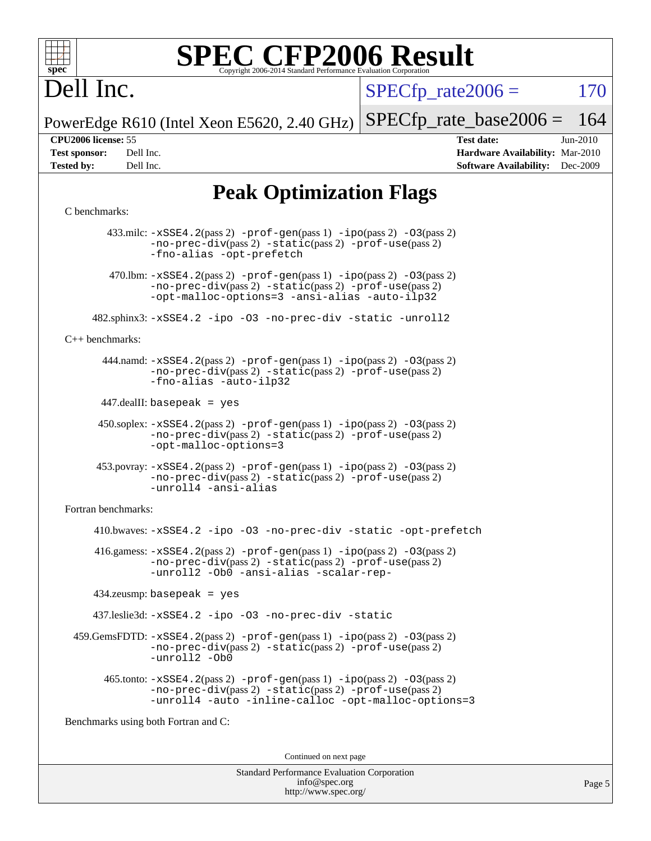

## Dell Inc.

 $SPECTp\_rate2006 = 170$ 

PowerEdge R610 (Intel Xeon E5620, 2.40 GHz) [SPECfp\\_rate\\_base2006 =](http://www.spec.org/auto/cpu2006/Docs/result-fields.html#SPECfpratebase2006) 164

**[CPU2006 license:](http://www.spec.org/auto/cpu2006/Docs/result-fields.html#CPU2006license)** 55 **[Test date:](http://www.spec.org/auto/cpu2006/Docs/result-fields.html#Testdate)** Jun-2010 **[Test sponsor:](http://www.spec.org/auto/cpu2006/Docs/result-fields.html#Testsponsor)** Dell Inc. **[Hardware Availability:](http://www.spec.org/auto/cpu2006/Docs/result-fields.html#HardwareAvailability)** Mar-2010 **[Tested by:](http://www.spec.org/auto/cpu2006/Docs/result-fields.html#Testedby)** Dell Inc. **[Software Availability:](http://www.spec.org/auto/cpu2006/Docs/result-fields.html#SoftwareAvailability)** Dec-2009

#### **[Peak Optimization Flags](http://www.spec.org/auto/cpu2006/Docs/result-fields.html#PeakOptimizationFlags)**

#### [C benchmarks](http://www.spec.org/auto/cpu2006/Docs/result-fields.html#Cbenchmarks):

 433.milc: [-xSSE4.2](http://www.spec.org/cpu2006/results/res2010q3/cpu2006-20100702-12146.flags.html#user_peakPASS2_CFLAGSPASS2_LDFLAGS433_milc_f-xSSE42_f91528193cf0b216347adb8b939d4107)(pass 2) [-prof-gen](http://www.spec.org/cpu2006/results/res2010q3/cpu2006-20100702-12146.flags.html#user_peakPASS1_CFLAGSPASS1_LDFLAGS433_milc_prof_gen_e43856698f6ca7b7e442dfd80e94a8fc)(pass 1) [-ipo](http://www.spec.org/cpu2006/results/res2010q3/cpu2006-20100702-12146.flags.html#user_peakPASS2_CFLAGSPASS2_LDFLAGS433_milc_f-ipo)(pass 2) [-O3](http://www.spec.org/cpu2006/results/res2010q3/cpu2006-20100702-12146.flags.html#user_peakPASS2_CFLAGSPASS2_LDFLAGS433_milc_f-O3)(pass 2) [-no-prec-div](http://www.spec.org/cpu2006/results/res2010q3/cpu2006-20100702-12146.flags.html#user_peakPASS2_CFLAGSPASS2_LDFLAGS433_milc_f-no-prec-div)(pass 2) [-static](http://www.spec.org/cpu2006/results/res2010q3/cpu2006-20100702-12146.flags.html#user_peakPASS2_CFLAGSPASS2_LDFLAGS433_milc_f-static)(pass 2) [-prof-use](http://www.spec.org/cpu2006/results/res2010q3/cpu2006-20100702-12146.flags.html#user_peakPASS2_CFLAGSPASS2_LDFLAGS433_milc_prof_use_bccf7792157ff70d64e32fe3e1250b55)(pass 2) [-fno-alias](http://www.spec.org/cpu2006/results/res2010q3/cpu2006-20100702-12146.flags.html#user_peakOPTIMIZE433_milc_f-no-alias_694e77f6c5a51e658e82ccff53a9e63a) [-opt-prefetch](http://www.spec.org/cpu2006/results/res2010q3/cpu2006-20100702-12146.flags.html#user_peakOPTIMIZE433_milc_f-opt-prefetch) 470.1bm:  $-xSSE4$ . 2(pass 2)  $-prof-gen(pass 1) -ipo(pass 2) -O3(pass 2)$  $-prof-gen(pass 1) -ipo(pass 2) -O3(pass 2)$  $-prof-gen(pass 1) -ipo(pass 2) -O3(pass 2)$  $-prof-gen(pass 1) -ipo(pass 2) -O3(pass 2)$  $-prof-gen(pass 1) -ipo(pass 2) -O3(pass 2)$  $-prof-gen(pass 1) -ipo(pass 2) -O3(pass 2)$ [-no-prec-div](http://www.spec.org/cpu2006/results/res2010q3/cpu2006-20100702-12146.flags.html#user_peakPASS2_CFLAGSPASS2_LDFLAGS470_lbm_f-no-prec-div)(pass 2) [-static](http://www.spec.org/cpu2006/results/res2010q3/cpu2006-20100702-12146.flags.html#user_peakPASS2_CFLAGSPASS2_LDFLAGS470_lbm_f-static)(pass 2) [-prof-use](http://www.spec.org/cpu2006/results/res2010q3/cpu2006-20100702-12146.flags.html#user_peakPASS2_CFLAGSPASS2_LDFLAGS470_lbm_prof_use_bccf7792157ff70d64e32fe3e1250b55)(pass 2) [-opt-malloc-options=3](http://www.spec.org/cpu2006/results/res2010q3/cpu2006-20100702-12146.flags.html#user_peakOPTIMIZE470_lbm_f-opt-malloc-options_13ab9b803cf986b4ee62f0a5998c2238) [-ansi-alias](http://www.spec.org/cpu2006/results/res2010q3/cpu2006-20100702-12146.flags.html#user_peakOPTIMIZE470_lbm_f-ansi-alias) [-auto-ilp32](http://www.spec.org/cpu2006/results/res2010q3/cpu2006-20100702-12146.flags.html#user_peakCOPTIMIZE470_lbm_f-auto-ilp32) 482.sphinx3: [-xSSE4.2](http://www.spec.org/cpu2006/results/res2010q3/cpu2006-20100702-12146.flags.html#user_peakOPTIMIZE482_sphinx3_f-xSSE42_f91528193cf0b216347adb8b939d4107) [-ipo](http://www.spec.org/cpu2006/results/res2010q3/cpu2006-20100702-12146.flags.html#user_peakOPTIMIZE482_sphinx3_f-ipo) [-O3](http://www.spec.org/cpu2006/results/res2010q3/cpu2006-20100702-12146.flags.html#user_peakOPTIMIZE482_sphinx3_f-O3) [-no-prec-div](http://www.spec.org/cpu2006/results/res2010q3/cpu2006-20100702-12146.flags.html#user_peakOPTIMIZE482_sphinx3_f-no-prec-div) [-static](http://www.spec.org/cpu2006/results/res2010q3/cpu2006-20100702-12146.flags.html#user_peakOPTIMIZE482_sphinx3_f-static) [-unroll2](http://www.spec.org/cpu2006/results/res2010q3/cpu2006-20100702-12146.flags.html#user_peakCOPTIMIZE482_sphinx3_f-unroll_784dae83bebfb236979b41d2422d7ec2) [C++ benchmarks:](http://www.spec.org/auto/cpu2006/Docs/result-fields.html#CXXbenchmarks) 444.namd: [-xSSE4.2](http://www.spec.org/cpu2006/results/res2010q3/cpu2006-20100702-12146.flags.html#user_peakPASS2_CXXFLAGSPASS2_LDFLAGS444_namd_f-xSSE42_f91528193cf0b216347adb8b939d4107)(pass 2) [-prof-gen](http://www.spec.org/cpu2006/results/res2010q3/cpu2006-20100702-12146.flags.html#user_peakPASS1_CXXFLAGSPASS1_LDFLAGS444_namd_prof_gen_e43856698f6ca7b7e442dfd80e94a8fc)(pass 1) [-ipo](http://www.spec.org/cpu2006/results/res2010q3/cpu2006-20100702-12146.flags.html#user_peakPASS2_CXXFLAGSPASS2_LDFLAGS444_namd_f-ipo)(pass 2) [-O3](http://www.spec.org/cpu2006/results/res2010q3/cpu2006-20100702-12146.flags.html#user_peakPASS2_CXXFLAGSPASS2_LDFLAGS444_namd_f-O3)(pass 2) [-no-prec-div](http://www.spec.org/cpu2006/results/res2010q3/cpu2006-20100702-12146.flags.html#user_peakPASS2_CXXFLAGSPASS2_LDFLAGS444_namd_f-no-prec-div)(pass 2) [-static](http://www.spec.org/cpu2006/results/res2010q3/cpu2006-20100702-12146.flags.html#user_peakPASS2_CXXFLAGSPASS2_LDFLAGS444_namd_f-static)(pass 2) [-prof-use](http://www.spec.org/cpu2006/results/res2010q3/cpu2006-20100702-12146.flags.html#user_peakPASS2_CXXFLAGSPASS2_LDFLAGS444_namd_prof_use_bccf7792157ff70d64e32fe3e1250b55)(pass 2) [-fno-alias](http://www.spec.org/cpu2006/results/res2010q3/cpu2006-20100702-12146.flags.html#user_peakCXXOPTIMIZE444_namd_f-no-alias_694e77f6c5a51e658e82ccff53a9e63a) [-auto-ilp32](http://www.spec.org/cpu2006/results/res2010q3/cpu2006-20100702-12146.flags.html#user_peakCXXOPTIMIZE444_namd_f-auto-ilp32) 447.dealII: basepeak = yes 450.soplex: [-xSSE4.2](http://www.spec.org/cpu2006/results/res2010q3/cpu2006-20100702-12146.flags.html#user_peakPASS2_CXXFLAGSPASS2_LDFLAGS450_soplex_f-xSSE42_f91528193cf0b216347adb8b939d4107)(pass 2) [-prof-gen](http://www.spec.org/cpu2006/results/res2010q3/cpu2006-20100702-12146.flags.html#user_peakPASS1_CXXFLAGSPASS1_LDFLAGS450_soplex_prof_gen_e43856698f6ca7b7e442dfd80e94a8fc)(pass 1) [-ipo](http://www.spec.org/cpu2006/results/res2010q3/cpu2006-20100702-12146.flags.html#user_peakPASS2_CXXFLAGSPASS2_LDFLAGS450_soplex_f-ipo)(pass 2) [-O3](http://www.spec.org/cpu2006/results/res2010q3/cpu2006-20100702-12146.flags.html#user_peakPASS2_CXXFLAGSPASS2_LDFLAGS450_soplex_f-O3)(pass 2) [-no-prec-div](http://www.spec.org/cpu2006/results/res2010q3/cpu2006-20100702-12146.flags.html#user_peakPASS2_CXXFLAGSPASS2_LDFLAGS450_soplex_f-no-prec-div)(pass 2) [-static](http://www.spec.org/cpu2006/results/res2010q3/cpu2006-20100702-12146.flags.html#user_peakPASS2_CXXFLAGSPASS2_LDFLAGS450_soplex_f-static)(pass 2) [-prof-use](http://www.spec.org/cpu2006/results/res2010q3/cpu2006-20100702-12146.flags.html#user_peakPASS2_CXXFLAGSPASS2_LDFLAGS450_soplex_prof_use_bccf7792157ff70d64e32fe3e1250b55)(pass 2) [-opt-malloc-options=3](http://www.spec.org/cpu2006/results/res2010q3/cpu2006-20100702-12146.flags.html#user_peakOPTIMIZE450_soplex_f-opt-malloc-options_13ab9b803cf986b4ee62f0a5998c2238) 453.povray: [-xSSE4.2](http://www.spec.org/cpu2006/results/res2010q3/cpu2006-20100702-12146.flags.html#user_peakPASS2_CXXFLAGSPASS2_LDFLAGS453_povray_f-xSSE42_f91528193cf0b216347adb8b939d4107)(pass 2) [-prof-gen](http://www.spec.org/cpu2006/results/res2010q3/cpu2006-20100702-12146.flags.html#user_peakPASS1_CXXFLAGSPASS1_LDFLAGS453_povray_prof_gen_e43856698f6ca7b7e442dfd80e94a8fc)(pass 1) [-ipo](http://www.spec.org/cpu2006/results/res2010q3/cpu2006-20100702-12146.flags.html#user_peakPASS2_CXXFLAGSPASS2_LDFLAGS453_povray_f-ipo)(pass 2) [-O3](http://www.spec.org/cpu2006/results/res2010q3/cpu2006-20100702-12146.flags.html#user_peakPASS2_CXXFLAGSPASS2_LDFLAGS453_povray_f-O3)(pass 2) [-no-prec-div](http://www.spec.org/cpu2006/results/res2010q3/cpu2006-20100702-12146.flags.html#user_peakPASS2_CXXFLAGSPASS2_LDFLAGS453_povray_f-no-prec-div)(pass 2) [-static](http://www.spec.org/cpu2006/results/res2010q3/cpu2006-20100702-12146.flags.html#user_peakPASS2_CXXFLAGSPASS2_LDFLAGS453_povray_f-static)(pass 2) [-prof-use](http://www.spec.org/cpu2006/results/res2010q3/cpu2006-20100702-12146.flags.html#user_peakPASS2_CXXFLAGSPASS2_LDFLAGS453_povray_prof_use_bccf7792157ff70d64e32fe3e1250b55)(pass 2) [-unroll4](http://www.spec.org/cpu2006/results/res2010q3/cpu2006-20100702-12146.flags.html#user_peakCXXOPTIMIZE453_povray_f-unroll_4e5e4ed65b7fd20bdcd365bec371b81f) [-ansi-alias](http://www.spec.org/cpu2006/results/res2010q3/cpu2006-20100702-12146.flags.html#user_peakCXXOPTIMIZE453_povray_f-ansi-alias) [Fortran benchmarks](http://www.spec.org/auto/cpu2006/Docs/result-fields.html#Fortranbenchmarks): 410.bwaves: [-xSSE4.2](http://www.spec.org/cpu2006/results/res2010q3/cpu2006-20100702-12146.flags.html#user_peakOPTIMIZE410_bwaves_f-xSSE42_f91528193cf0b216347adb8b939d4107) [-ipo](http://www.spec.org/cpu2006/results/res2010q3/cpu2006-20100702-12146.flags.html#user_peakOPTIMIZE410_bwaves_f-ipo) [-O3](http://www.spec.org/cpu2006/results/res2010q3/cpu2006-20100702-12146.flags.html#user_peakOPTIMIZE410_bwaves_f-O3) [-no-prec-div](http://www.spec.org/cpu2006/results/res2010q3/cpu2006-20100702-12146.flags.html#user_peakOPTIMIZE410_bwaves_f-no-prec-div) [-static](http://www.spec.org/cpu2006/results/res2010q3/cpu2006-20100702-12146.flags.html#user_peakOPTIMIZE410_bwaves_f-static) [-opt-prefetch](http://www.spec.org/cpu2006/results/res2010q3/cpu2006-20100702-12146.flags.html#user_peakOPTIMIZE410_bwaves_f-opt-prefetch)  $416$ .gamess:  $-xSSE4$ .  $2(pass 2)$  -prof-qen(pass 1) [-ipo](http://www.spec.org/cpu2006/results/res2010q3/cpu2006-20100702-12146.flags.html#user_peakPASS2_FFLAGSPASS2_LDFLAGS416_gamess_f-ipo)(pass 2) -03(pass 2) [-no-prec-div](http://www.spec.org/cpu2006/results/res2010q3/cpu2006-20100702-12146.flags.html#user_peakPASS2_FFLAGSPASS2_LDFLAGS416_gamess_f-no-prec-div)(pass 2) [-static](http://www.spec.org/cpu2006/results/res2010q3/cpu2006-20100702-12146.flags.html#user_peakPASS2_FFLAGSPASS2_LDFLAGS416_gamess_f-static)(pass 2) [-prof-use](http://www.spec.org/cpu2006/results/res2010q3/cpu2006-20100702-12146.flags.html#user_peakPASS2_FFLAGSPASS2_LDFLAGS416_gamess_prof_use_bccf7792157ff70d64e32fe3e1250b55)(pass 2) [-unroll2](http://www.spec.org/cpu2006/results/res2010q3/cpu2006-20100702-12146.flags.html#user_peakOPTIMIZE416_gamess_f-unroll_784dae83bebfb236979b41d2422d7ec2) [-Ob0](http://www.spec.org/cpu2006/results/res2010q3/cpu2006-20100702-12146.flags.html#user_peakOPTIMIZE416_gamess_f-Ob_n_fbe6f6428adb7d4b74b1e99bb2444c2d) [-ansi-alias](http://www.spec.org/cpu2006/results/res2010q3/cpu2006-20100702-12146.flags.html#user_peakOPTIMIZE416_gamess_f-ansi-alias) [-scalar-rep-](http://www.spec.org/cpu2006/results/res2010q3/cpu2006-20100702-12146.flags.html#user_peakOPTIMIZE416_gamess_f-disablescalarrep_abbcad04450fb118e4809c81d83c8a1d) 434.zeusmp: basepeak = yes 437.leslie3d: [-xSSE4.2](http://www.spec.org/cpu2006/results/res2010q3/cpu2006-20100702-12146.flags.html#user_peakOPTIMIZE437_leslie3d_f-xSSE42_f91528193cf0b216347adb8b939d4107) [-ipo](http://www.spec.org/cpu2006/results/res2010q3/cpu2006-20100702-12146.flags.html#user_peakOPTIMIZE437_leslie3d_f-ipo) [-O3](http://www.spec.org/cpu2006/results/res2010q3/cpu2006-20100702-12146.flags.html#user_peakOPTIMIZE437_leslie3d_f-O3) [-no-prec-div](http://www.spec.org/cpu2006/results/res2010q3/cpu2006-20100702-12146.flags.html#user_peakOPTIMIZE437_leslie3d_f-no-prec-div) [-static](http://www.spec.org/cpu2006/results/res2010q3/cpu2006-20100702-12146.flags.html#user_peakOPTIMIZE437_leslie3d_f-static) 459.GemsFDTD: [-xSSE4.2](http://www.spec.org/cpu2006/results/res2010q3/cpu2006-20100702-12146.flags.html#user_peakPASS2_FFLAGSPASS2_LDFLAGS459_GemsFDTD_f-xSSE42_f91528193cf0b216347adb8b939d4107)(pass 2) [-prof-gen](http://www.spec.org/cpu2006/results/res2010q3/cpu2006-20100702-12146.flags.html#user_peakPASS1_FFLAGSPASS1_LDFLAGS459_GemsFDTD_prof_gen_e43856698f6ca7b7e442dfd80e94a8fc)(pass 1) [-ipo](http://www.spec.org/cpu2006/results/res2010q3/cpu2006-20100702-12146.flags.html#user_peakPASS2_FFLAGSPASS2_LDFLAGS459_GemsFDTD_f-ipo)(pass 2) [-O3](http://www.spec.org/cpu2006/results/res2010q3/cpu2006-20100702-12146.flags.html#user_peakPASS2_FFLAGSPASS2_LDFLAGS459_GemsFDTD_f-O3)(pass 2) [-no-prec-div](http://www.spec.org/cpu2006/results/res2010q3/cpu2006-20100702-12146.flags.html#user_peakPASS2_FFLAGSPASS2_LDFLAGS459_GemsFDTD_f-no-prec-div)(pass 2) [-static](http://www.spec.org/cpu2006/results/res2010q3/cpu2006-20100702-12146.flags.html#user_peakPASS2_FFLAGSPASS2_LDFLAGS459_GemsFDTD_f-static)(pass 2) [-prof-use](http://www.spec.org/cpu2006/results/res2010q3/cpu2006-20100702-12146.flags.html#user_peakPASS2_FFLAGSPASS2_LDFLAGS459_GemsFDTD_prof_use_bccf7792157ff70d64e32fe3e1250b55)(pass 2) [-unroll2](http://www.spec.org/cpu2006/results/res2010q3/cpu2006-20100702-12146.flags.html#user_peakOPTIMIZE459_GemsFDTD_f-unroll_784dae83bebfb236979b41d2422d7ec2) [-Ob0](http://www.spec.org/cpu2006/results/res2010q3/cpu2006-20100702-12146.flags.html#user_peakOPTIMIZE459_GemsFDTD_f-Ob_n_fbe6f6428adb7d4b74b1e99bb2444c2d)  $465$ .tonto:  $-xSSE4$ .  $2(pass 2)$  [-prof-gen](http://www.spec.org/cpu2006/results/res2010q3/cpu2006-20100702-12146.flags.html#user_peakPASS1_FFLAGSPASS1_LDFLAGS465_tonto_prof_gen_e43856698f6ca7b7e442dfd80e94a8fc)(pass 1) [-ipo](http://www.spec.org/cpu2006/results/res2010q3/cpu2006-20100702-12146.flags.html#user_peakPASS2_FFLAGSPASS2_LDFLAGS465_tonto_f-ipo)(pass 2) [-O3](http://www.spec.org/cpu2006/results/res2010q3/cpu2006-20100702-12146.flags.html#user_peakPASS2_FFLAGSPASS2_LDFLAGS465_tonto_f-O3)(pass 2) [-no-prec-div](http://www.spec.org/cpu2006/results/res2010q3/cpu2006-20100702-12146.flags.html#user_peakPASS2_FFLAGSPASS2_LDFLAGS465_tonto_f-no-prec-div)(pass 2) [-static](http://www.spec.org/cpu2006/results/res2010q3/cpu2006-20100702-12146.flags.html#user_peakPASS2_FFLAGSPASS2_LDFLAGS465_tonto_f-static)(pass 2) [-prof-use](http://www.spec.org/cpu2006/results/res2010q3/cpu2006-20100702-12146.flags.html#user_peakPASS2_FFLAGSPASS2_LDFLAGS465_tonto_prof_use_bccf7792157ff70d64e32fe3e1250b55)(pass 2) [-unroll4](http://www.spec.org/cpu2006/results/res2010q3/cpu2006-20100702-12146.flags.html#user_peakOPTIMIZE465_tonto_f-unroll_4e5e4ed65b7fd20bdcd365bec371b81f) [-auto](http://www.spec.org/cpu2006/results/res2010q3/cpu2006-20100702-12146.flags.html#user_peakOPTIMIZE465_tonto_f-auto) [-inline-calloc](http://www.spec.org/cpu2006/results/res2010q3/cpu2006-20100702-12146.flags.html#user_peakOPTIMIZE465_tonto_f-inline-calloc) [-opt-malloc-options=3](http://www.spec.org/cpu2006/results/res2010q3/cpu2006-20100702-12146.flags.html#user_peakOPTIMIZE465_tonto_f-opt-malloc-options_13ab9b803cf986b4ee62f0a5998c2238) [Benchmarks using both Fortran and C](http://www.spec.org/auto/cpu2006/Docs/result-fields.html#BenchmarksusingbothFortranandC): Continued on next page